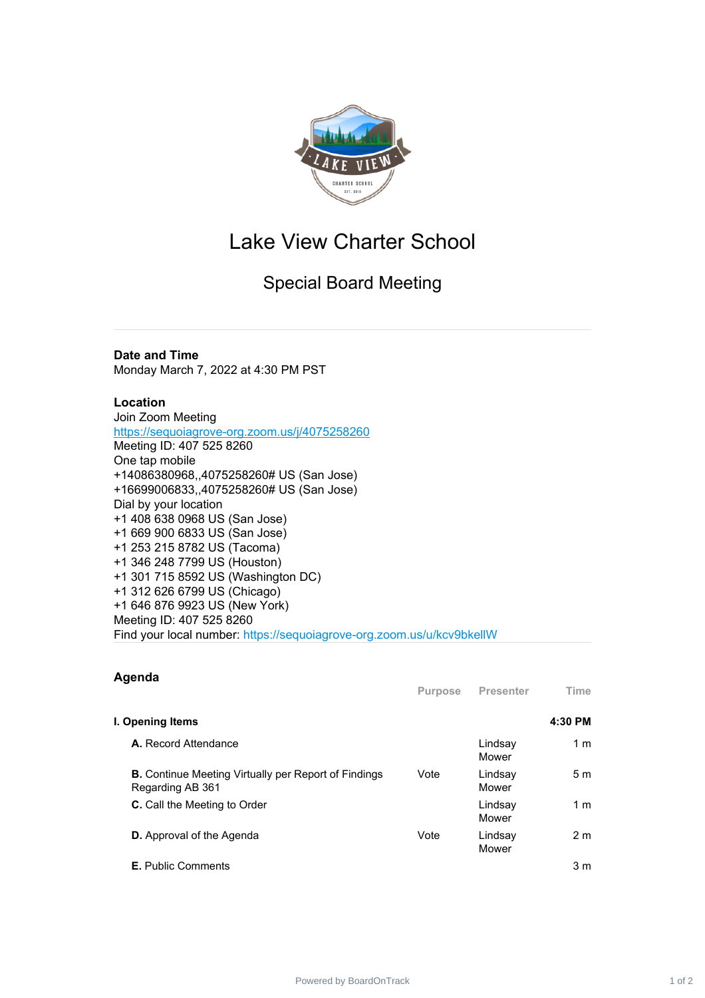

## Lake View Charter School

Special Board Meeting

## **Date and Time**

Monday March 7, 2022 at 4:30 PM PST

## **Location**

Join Zoom Meeting <https://sequoiagrove-org.zoom.us/j/4075258260> Meeting ID: 407 525 8260 One tap mobile +14086380968,,4075258260# US (San Jose) +16699006833,,4075258260# US (San Jose) Dial by your location +1 408 638 0968 US (San Jose) +1 669 900 6833 US (San Jose) +1 253 215 8782 US (Tacoma) +1 346 248 7799 US (Houston) +1 301 715 8592 US (Washington DC) +1 312 626 6799 US (Chicago) +1 646 876 9923 US (New York) Meeting ID: 407 525 8260 Find your local number: https://sequoiagrove-org.zoom.us/u/kcv9bkellW

## **Agenda**

|                                                                                 | <b>Purpose</b> | <b>Presenter</b> | Time           |
|---------------------------------------------------------------------------------|----------------|------------------|----------------|
| I. Opening Items                                                                |                |                  | 4:30 PM        |
| <b>A.</b> Record Attendance                                                     |                | Lindsay<br>Mower | 1 <sub>m</sub> |
| <b>B.</b> Continue Meeting Virtually per Report of Findings<br>Regarding AB 361 | Vote           | Lindsay<br>Mower | 5 <sub>m</sub> |
| <b>C.</b> Call the Meeting to Order                                             |                | Lindsay<br>Mower | 1 <sub>m</sub> |
| <b>D.</b> Approval of the Agenda                                                | Vote           | Lindsay<br>Mower | 2 <sub>m</sub> |
| <b>E.</b> Public Comments                                                       |                |                  | 3 <sub>m</sub> |